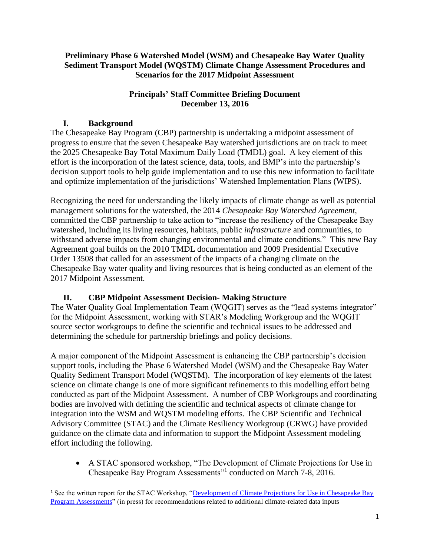#### **Preliminary Phase 6 Watershed Model (WSM) and Chesapeake Bay Water Quality Sediment Transport Model (WQSTM) Climate Change Assessment Procedures and Scenarios for the 2017 Midpoint Assessment**

## **Principals' Staff Committee Briefing Document December 13, 2016**

## **I. Background**

l

The Chesapeake Bay Program (CBP) partnership is undertaking a midpoint assessment of progress to ensure that the seven Chesapeake Bay watershed jurisdictions are on track to meet the 2025 Chesapeake Bay Total Maximum Daily Load (TMDL) goal. A key element of this effort is the incorporation of the latest science, data, tools, and BMP's into the partnership's decision support tools to help guide implementation and to use this new information to facilitate and optimize implementation of the jurisdictions' Watershed Implementation Plans (WIPS).

Recognizing the need for understanding the likely impacts of climate change as well as potential management solutions for the watershed, the 2014 *Chesapeake Bay Watershed Agreement*, committed the CBP partnership to take action to "increase the resiliency of the Chesapeake Bay watershed, including its living resources, habitats, public *infrastructure* and communities, to withstand adverse impacts from changing environmental and climate conditions." This new Bay Agreement goal builds on the 2010 TMDL documentation and 2009 Presidential Executive Order 13508 that called for an assessment of the impacts of a changing climate on the Chesapeake Bay water quality and living resources that is being conducted as an element of the 2017 Midpoint Assessment.

## **II. CBP Midpoint Assessment Decision- Making Structure**

The Water Quality Goal Implementation Team (WQGIT) serves as the "lead systems integrator" for the Midpoint Assessment, working with STAR's Modeling Workgroup and the WQGIT source sector workgroups to define the scientific and technical issues to be addressed and determining the schedule for partnership briefings and policy decisions.

A major component of the Midpoint Assessment is enhancing the CBP partnership's decision support tools, including the Phase 6 Watershed Model (WSM) and the Chesapeake Bay Water Quality Sediment Transport Model (WQSTM). The incorporation of key elements of the latest science on climate change is one of more significant refinements to this modelling effort being conducted as part of the Midpoint Assessment. A number of CBP Workgroups and coordinating bodies are involved with defining the scientific and technical aspects of climate change for integration into the WSM and WQSTM modeling efforts. The CBP Scientific and Technical Advisory Committee (STAC) and the Climate Resiliency Workgroup (CRWG) have provided guidance on the climate data and information to support the Midpoint Assessment modeling effort including the following.

 A STAC sponsored workshop, "The Development of Climate Projections for Use in Chesapeake Bay Program Assessments"<sup>1</sup> conducted on March 7-8, 2016.

<sup>&</sup>lt;sup>1</sup> See the written report for the STAC Workshop, "Development of Climate Projections for Use in Chesapeake Bay [Program Assessments"](http://www.chesapeake.org/stac/workshop.php?activity_id=258) (in press) for recommendations related to additional climate-related data inputs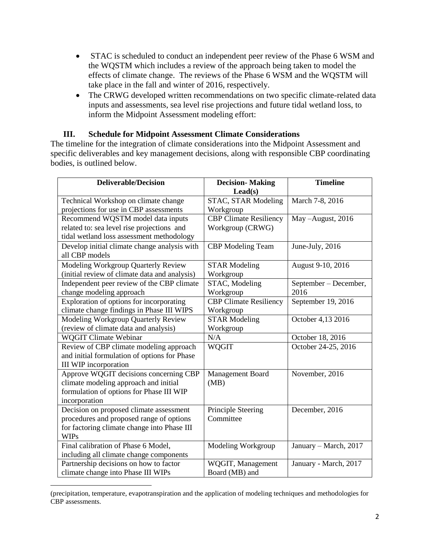- STAC is scheduled to conduct an independent peer review of the Phase 6 WSM and the WQSTM which includes a review of the approach being taken to model the effects of climate change. The reviews of the Phase 6 WSM and the WQSTM will take place in the fall and winter of 2016, respectively.
- The CRWG developed written recommendations on two specific climate-related data inputs and assessments, sea level rise projections and future tidal wetland loss, to inform the Midpoint Assessment modeling effort:

#### **III. Schedule for Midpoint Assessment Climate Considerations**

The timeline for the integration of climate considerations into the Midpoint Assessment and specific deliverables and key management decisions, along with responsible CBP coordinating bodies, is outlined below.

| <b>Deliverable/Decision</b>                   | <b>Decision-Making</b>        | <b>Timeline</b>       |
|-----------------------------------------------|-------------------------------|-----------------------|
|                                               | $\text{Lead}(s)$              |                       |
| Technical Workshop on climate change          | STAC, STAR Modeling           | March 7-8, 2016       |
| projections for use in CBP assessments        | Workgroup                     |                       |
| Recommend WQSTM model data inputs             | <b>CBP</b> Climate Resiliency | May-August, 2016      |
| related to: sea level rise projections and    | Workgroup (CRWG)              |                       |
| tidal wetland loss assessment methodology     |                               |                       |
| Develop initial climate change analysis with  | <b>CBP</b> Modeling Team      | June-July, 2016       |
| all CBP models                                |                               |                       |
| Modeling Workgroup Quarterly Review           | <b>STAR Modeling</b>          | August 9-10, 2016     |
| (initial review of climate data and analysis) | Workgroup                     |                       |
| Independent peer review of the CBP climate    | STAC, Modeling                | September – December, |
| change modeling approach                      | Workgroup                     | 2016                  |
| Exploration of options for incorporating      | <b>CBP Climate Resiliency</b> | September 19, 2016    |
| climate change findings in Phase III WIPS     | Workgroup                     |                       |
| Modeling Workgroup Quarterly Review           | <b>STAR Modeling</b>          | October 4,13 2016     |
| (review of climate data and analysis)         | Workgroup                     |                       |
| <b>WQGIT Climate Webinar</b>                  | N/A                           | October 18, 2016      |
| Review of CBP climate modeling approach       | <b>WQGIT</b>                  | October 24-25, 2016   |
| and initial formulation of options for Phase  |                               |                       |
| III WIP incorporation                         |                               |                       |
| Approve WQGIT decisions concerning CBP        | Management Board              | November, 2016        |
| climate modeling approach and initial         | (MB)                          |                       |
| formulation of options for Phase III WIP      |                               |                       |
| incorporation                                 |                               |                       |
| Decision on proposed climate assessment       | Principle Steering            | December, 2016        |
| procedures and proposed range of options      | Committee                     |                       |
| for factoring climate change into Phase III   |                               |                       |
| <b>WIPs</b>                                   |                               |                       |
| Final calibration of Phase 6 Model,           | Modeling Workgroup            | January - March, 2017 |
| including all climate change components       |                               |                       |
| Partnership decisions on how to factor        | WQGIT, Management             | January - March, 2017 |
| climate change into Phase III WIPs            | Board (MB) and                |                       |

 $\overline{\phantom{a}}$ (precipitation, temperature, evapotranspiration and the application of modeling techniques and methodologies for CBP assessments.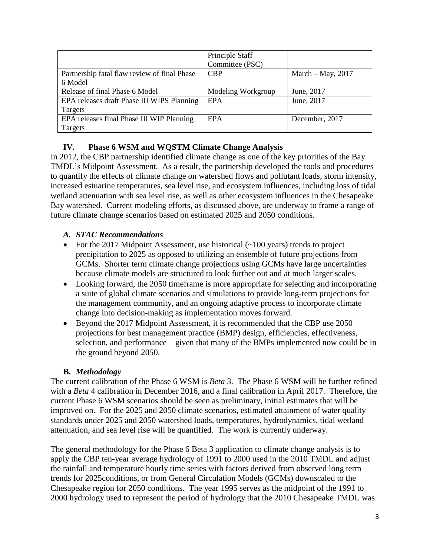|                                              | Principle Staff    |                     |
|----------------------------------------------|--------------------|---------------------|
|                                              | Committee (PSC)    |                     |
| Partnership fatal flaw review of final Phase | <b>CBP</b>         | March $-May$ , 2017 |
| 6 Model                                      |                    |                     |
| Release of final Phase 6 Model               | Modeling Workgroup | June, 2017          |
| EPA releases draft Phase III WIPS Planning   | EPA                | June, 2017          |
| Targets                                      |                    |                     |
| EPA releases final Phase III WIP Planning    | EPA                | December, 2017      |
| Targets                                      |                    |                     |

#### **IV. Phase 6 WSM and WQSTM Climate Change Analysis**

In 2012, the CBP partnership identified climate change as one of the key priorities of the Bay TMDL's Midpoint Assessment. As a result, the partnership developed the tools and procedures to quantify the effects of climate change on watershed flows and pollutant loads, storm intensity, increased estuarine temperatures, sea level rise, and ecosystem influences, including loss of tidal wetland attenuation with sea level rise, as well as other ecosystem influences in the Chesapeake Bay watershed. Current modeling efforts, as discussed above, are underway to frame a range of future climate change scenarios based on estimated 2025 and 2050 conditions.

#### *A. STAC Recommendations*

- For the 2017 Midpoint Assessment, use historical  $(\sim 100 \text{ years})$  trends to project precipitation to 2025 as opposed to utilizing an ensemble of future projections from GCMs. Shorter term climate change projections using GCMs have large uncertainties because climate models are structured to look further out and at much larger scales.
- Looking forward, the 2050 timeframe is more appropriate for selecting and incorporating a suite of global climate scenarios and simulations to provide long-term projections for the management community, and an ongoing adaptive process to incorporate climate change into decision-making as implementation moves forward.
- Beyond the 2017 Midpoint Assessment, it is recommended that the CBP use 2050 projections for best management practice (BMP) design, efficiencies, effectiveness, selection, and performance – given that many of the BMPs implemented now could be in the ground beyond 2050.

#### **B.** *Methodology*

The current calibration of the Phase 6 WSM is *Beta* 3. The Phase 6 WSM will be further refined with a *Beta* 4 calibration in December 2016, and a final calibration in April 2017. Therefore, the current Phase 6 WSM scenarios should be seen as preliminary, initial estimates that will be improved on. For the 2025 and 2050 climate scenarios, estimated attainment of water quality standards under 2025 and 2050 watershed loads, temperatures, hydrodynamics, tidal wetland attenuation, and sea level rise will be quantified. The work is currently underway.

The general methodology for the Phase 6 Beta 3 application to climate change analysis is to apply the CBP ten-year average hydrology of 1991 to 2000 used in the 2010 TMDL and adjust the rainfall and temperature hourly time series with factors derived from observed long term trends for 2025conditions, or from General Circulation Models (GCMs) downscaled to the Chesapeake region for 2050 conditions. The year 1995 serves as the midpoint of the 1991 to 2000 hydrology used to represent the period of hydrology that the 2010 Chesapeake TMDL was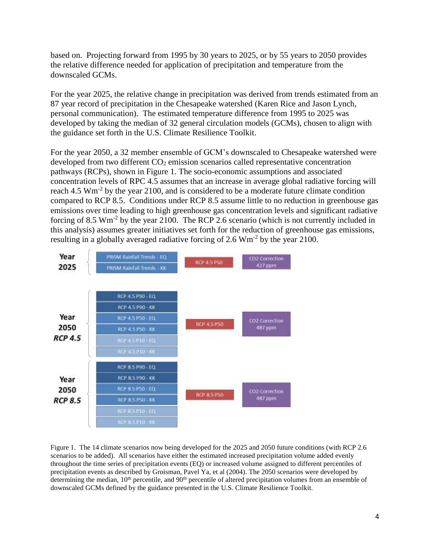based on. Projecting forward from 1995 by 30 years to 2025, or by 55 years to 2050 provides the relative difference needed for application of precipitation and temperature from the downscaled GCMs.

For the year 2025, the relative change in precipitation was derived from trends estimated from an 87 year record of precipitation in the Chesapeake watershed (Karen Rice and Jason Lynch, personal communication). The estimated temperature difference from 1995 to 2025 was developed by taking the median of 32 general circulation models (GCMs), chosen to align with the guidance set forth in the U.S. Climate Resilience Toolkit.

For the year 2050, a 32 member ensemble of GCM's downscaled to Chesapeake watershed were developed from two different CO<sub>2</sub> emission scenarios called representative concentration pathways (RCPs), shown in Figure 1. The socio-economic assumptions and associated concentration levels of RPC 4.5 assumes that an increase in average global radiative forcing will reach 4.5 Wm<sup>-2</sup> by the year 2100, and is considered to be a moderate future climate condition compared to RCP 8.5. Conditions under RCP 8.5 assume little to no reduction in greenhouse gas emissions over time leading to high greenhouse gas concentration levels and significant radiative forcing of 8.5  $\text{Wm}^2$  by the year 2100. The RCP 2.6 scenario (which is not currently included in this analysis) assumes greater initiatives set forth for the reduction of greenhouse gas emissions, resulting in a globally averaged radiative forcing of 2.6  $Wm^{-2}$  by the year 2100.



Figure 1. The 14 climate scenarios now being developed for the 2025 and 2050 future conditions (with RCP 2.6 scenarios to be added). All scenarios have either the estimated increased precipitation volume added evenly throughout the time series of precipitation events (EQ) or increased volume assigned to different percentiles of precipitation events as described by Groisman, Pavel Ya, et al (2004). The 2050 scenarios were developed by determining the median,  $10<sup>th</sup>$  percentile, and  $90<sup>th</sup>$  percentile of altered precipitation volumes from an ensemble of downscaled GCMs defined by the guidance presented in the U.S. Climate Resilience Toolkit.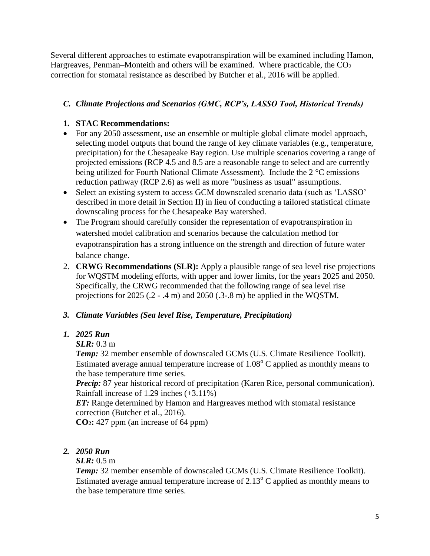Several different approaches to estimate evapotranspiration will be examined including Hamon, Hargreaves, Penman–Monteith and others will be examined. Where practicable, the  $CO<sub>2</sub>$ correction for stomatal resistance as described by Butcher et al., 2016 will be applied.

# *C. Climate Projections and Scenarios (GMC, RCP's, LASSO Tool, Historical Trends)*

#### **1. STAC Recommendations:**

- For any 2050 assessment, use an ensemble or multiple global climate model approach, selecting model outputs that bound the range of key climate variables (e.g., temperature, precipitation) for the Chesapeake Bay region. Use multiple scenarios covering a range of projected emissions (RCP 4.5 and 8.5 are a reasonable range to select and are currently being utilized for Fourth National Climate Assessment). Include the 2 °C emissions reduction pathway (RCP 2.6) as well as more "business as usual" assumptions.
- Select an existing system to access GCM downscaled scenario data (such as 'LASSO' described in more detail in Section II) in lieu of conducting a tailored statistical climate downscaling process for the Chesapeake Bay watershed.
- The Program should carefully consider the representation of evapotranspiration in watershed model calibration and scenarios because the calculation method for evapotranspiration has a strong influence on the strength and direction of future water balance change.
- 2. **CRWG Recommendations (SLR):** Apply a plausible range of sea level rise projections for WQSTM modeling efforts, with upper and lower limits, for the years 2025 and 2050. Specifically, the CRWG recommended that the following range of sea level rise projections for 2025 (.2 - .4 m) and 2050 (.3-.8 m) be applied in the WQSTM.

## *3. Climate Variables (Sea level Rise, Temperature, Precipitation)*

## *1. 2025 Run*

## *SLR:* 0.3 m

*Temp:* 32 member ensemble of downscaled GCMs (U.S. Climate Resilience Toolkit). Estimated average annual temperature increase of  $1.08^{\circ}$  C applied as monthly means to the base temperature time series.

*Precip:* 87 year historical record of precipitation (Karen Rice, personal communication). Rainfall increase of 1.29 inches (+3.11%)

*ET:* Range determined by Hamon and Hargreaves method with stomatal resistance correction (Butcher et al., 2016).

**CO2:** 427 ppm (an increase of 64 ppm)

# *2. 2050 Run*

## *SLR:* 0.5 m

*Temp:* 32 member ensemble of downscaled GCMs (U.S. Climate Resilience Toolkit). Estimated average annual temperature increase of  $2.13^{\circ}$  C applied as monthly means to the base temperature time series.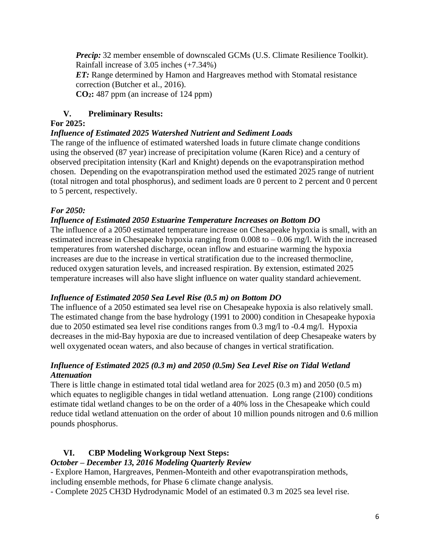*Precip:* 32 member ensemble of downscaled GCMs (U.S. Climate Resilience Toolkit). Rainfall increase of 3.05 inches (+7.34%) *ET:* Range determined by Hamon and Hargreaves method with Stomatal resistance

correction (Butcher et al., 2016).

**CO2:** 487 ppm (an increase of 124 ppm)

## **V. Preliminary Results:**

## **For 2025:**

## *Influence of Estimated 2025 Watershed Nutrient and Sediment Loads*

The range of the influence of estimated watershed loads in future climate change conditions using the observed (87 year) increase of precipitation volume (Karen Rice) and a century of observed precipitation intensity (Karl and Knight) depends on the evapotranspiration method chosen. Depending on the evapotranspiration method used the estimated 2025 range of nutrient (total nitrogen and total phosphorus), and sediment loads are 0 percent to 2 percent and 0 percent to 5 percent, respectively.

# *For 2050:*

# *Influence of Estimated 2050 Estuarine Temperature Increases on Bottom DO*

The influence of a 2050 estimated temperature increase on Chesapeake hypoxia is small, with an estimated increase in Chesapeake hypoxia ranging from  $0.008$  to  $-0.06$  mg/l. With the increased temperatures from watershed discharge, ocean inflow and estuarine warming the hypoxia increases are due to the increase in vertical stratification due to the increased thermocline, reduced oxygen saturation levels, and increased respiration. By extension, estimated 2025 temperature increases will also have slight influence on water quality standard achievement.

## *Influence of Estimated 2050 Sea Level Rise (0.5 m) on Bottom DO*

The influence of a 2050 estimated sea level rise on Chesapeake hypoxia is also relatively small. The estimated change from the base hydrology (1991 to 2000) condition in Chesapeake hypoxia due to 2050 estimated sea level rise conditions ranges from 0.3 mg/l to -0.4 mg/l. Hypoxia decreases in the mid-Bay hypoxia are due to increased ventilation of deep Chesapeake waters by well oxygenated ocean waters, and also because of changes in vertical stratification.

## *Influence of Estimated 2025 (0.3 m) and 2050 (0.5m) Sea Level Rise on Tidal Wetland Attenuation*

There is little change in estimated total tidal wetland area for 2025 (0.3 m) and 2050 (0.5 m) which equates to negligible changes in tidal wetland attenuation. Long range (2100) conditions estimate tidal wetland changes to be on the order of a 40% loss in the Chesapeake which could reduce tidal wetland attenuation on the order of about 10 million pounds nitrogen and 0.6 million pounds phosphorus.

# **VI. CBP Modeling Workgroup Next Steps:**

## *October – December 13, 2016 Modeling Quarterly Review*

- Explore Hamon, Hargreaves, Penmen-Monteith and other evapotranspiration methods, including ensemble methods, for Phase 6 climate change analysis.

- Complete 2025 CH3D Hydrodynamic Model of an estimated 0.3 m 2025 sea level rise.